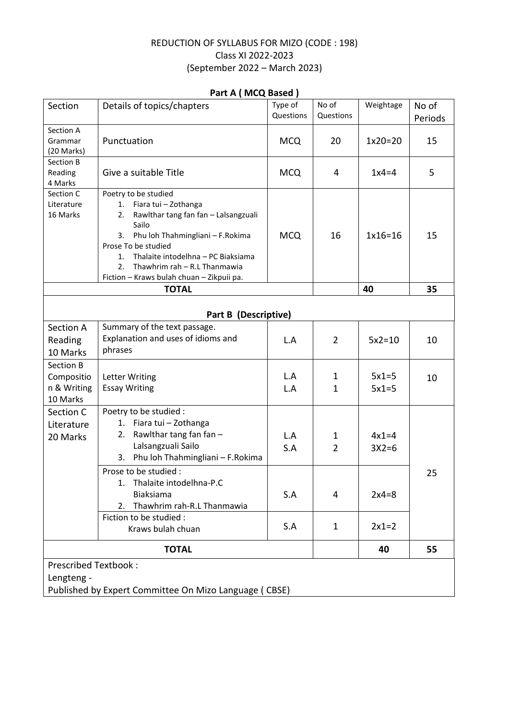## REDUCTION OF SYLLABUS FOR MIZO (CODE : 198) Class XI 2022-2023 (September 2022 – March 2023)

| Section                                                                                            | $1$ and $\sim$ $1$ and $\sim$ $2$ and $\sim$ $1$<br>Details of topics/chapters                                                                                                                                                                                                                                          | Type of<br>Questions     | No of<br>Questions                       | Weightage                                | No of         |  |  |  |  |
|----------------------------------------------------------------------------------------------------|-------------------------------------------------------------------------------------------------------------------------------------------------------------------------------------------------------------------------------------------------------------------------------------------------------------------------|--------------------------|------------------------------------------|------------------------------------------|---------------|--|--|--|--|
| Section A<br>Grammar<br>(20 Marks)                                                                 | Punctuation                                                                                                                                                                                                                                                                                                             | <b>MCQ</b>               | 20                                       | $1x20=20$                                | Periods<br>15 |  |  |  |  |
| Section B<br>Reading<br>4 Marks                                                                    | Give a suitable Title                                                                                                                                                                                                                                                                                                   | <b>MCQ</b>               | 4                                        | $1x4=4$                                  | 5             |  |  |  |  |
| Section C<br>Literature<br>16 Marks                                                                | Poetry to be studied<br>Fiara tui - Zothanga<br>1.<br>Rawlthar tang fan fan - Lalsangzuali<br>2.<br>Sailo<br>Phu loh Thahmingliani - F.Rokima<br>3.<br>Prose To be studied<br>Thalaite intodelhna - PC Biaksiama<br>1.<br>Thawhrim rah - R.L Thanmawia<br>2.<br>Fiction - Kraws bulah chuan - Zikpuii pa.               | <b>MCQ</b>               | 16                                       | $1x16=16$                                | 15            |  |  |  |  |
|                                                                                                    | <b>TOTAL</b>                                                                                                                                                                                                                                                                                                            |                          |                                          | 40                                       | 35            |  |  |  |  |
| Part B (Descriptive)                                                                               |                                                                                                                                                                                                                                                                                                                         |                          |                                          |                                          |               |  |  |  |  |
| Section A<br>Reading<br>10 Marks                                                                   | Summary of the text passage.<br>Explanation and uses of idioms and<br>phrases                                                                                                                                                                                                                                           | L.A                      | $\overline{2}$                           | $5x2=10$                                 | 10            |  |  |  |  |
| <b>Section B</b><br>Compositio<br>n & Writing<br>10 Marks                                          | <b>Letter Writing</b><br><b>Essay Writing</b>                                                                                                                                                                                                                                                                           | L.A<br>L.A               | 1<br>1                                   | $5x1=5$<br>$5x1=5$                       | 10            |  |  |  |  |
| Section C<br>Literature<br>20 Marks                                                                | Poetry to be studied :<br>Fiara tui - Zothanga<br>1.<br>Rawlthar tang fan fan -<br>2.<br>Lalsangzuali Sailo<br>Phu loh Thahmingliani - F.Rokima<br>3.<br>Prose to be studied :<br>Thalaite intodelhna-P.C<br>1.<br><b>Biaksiama</b><br>Thawhrim rah-R.L Thanmawia<br>2.<br>Fiction to be studied :<br>Kraws bulah chuan | L.A<br>S.A<br>S.A<br>S.A | 1<br>$\overline{2}$<br>4<br>$\mathbf{1}$ | $4x1=4$<br>$3X2=6$<br>$2x4=8$<br>$2x1=2$ | 25            |  |  |  |  |
| <b>TOTAL</b>                                                                                       |                                                                                                                                                                                                                                                                                                                         |                          |                                          | 40                                       | 55            |  |  |  |  |
| <b>Prescribed Textbook:</b><br>Lengteng -<br>Published by Expert Committee On Mizo Language (CBSE) |                                                                                                                                                                                                                                                                                                                         |                          |                                          |                                          |               |  |  |  |  |

## **Part A ( MCQ Based )**